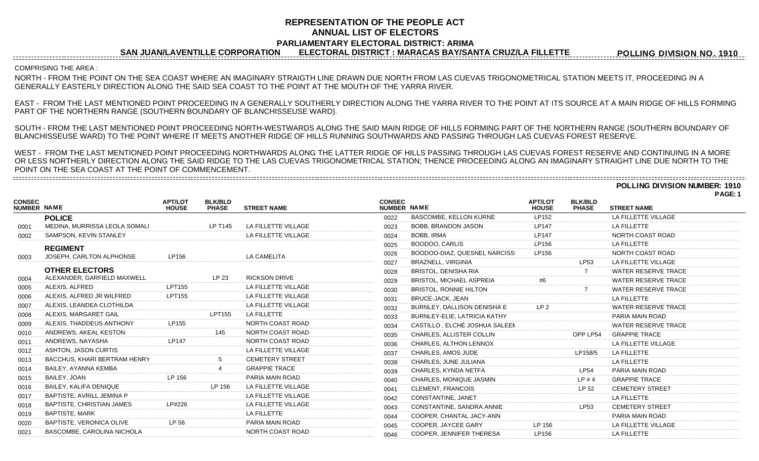## **REPRESENTATION OF THE PEOPLE ACT ANNUAL LIST OF ELECTORS**

**PARLIAMENTARY ELECTORAL DISTRICT: ARIMA**

**SAN JUAN/LAVENTILLE CORPORATION ELECTORAL DISTRICT : MARACAS BAY/SANTA CRUZ/LA FILLETTE**

**POLLING DIVISION NO. 1910**

COMPRISING THE AREA :

=========================

NORTH - FROM THE POINT ON THE SEA COAST WHERE AN IMAGINARY STRAIGTH LINE DRAWN DUE NORTH FROM LAS CUEVAS TRIGONOMETRICAL STATION MEETS IT, PROCEEDING IN A GENERALLY EASTERLY DIRECTION ALONG THE SAID SEA COAST TO THE POINT AT THE MOUTH OF THE YARRA RIVER.

EAST - FROM THE LAST MENTIONED POINT PROCEEDING IN A GENERALLY SOUTHERLY DIRECTION ALONG THE YARRA RIVER TO THE POINT AT ITS SOURCE AT A MAIN RIDGE OF HILLS FORMING PART OF THE NORTHERN RANGE (SOUTHERN BOUNDARY OF BLANCHISSEUSE WARD).

SOUTH - FROM THE LAST MENTIONED POINT PROCEEDING NORTH-WESTWARDS ALONG THE SAID MAIN RIDGE OF HILLS FORMING PART OF THE NORTHERN RANGE (SOUTHERN BOUNDARY OF BLANCHISSEUSE WARD) TO THE POINT WHERE IT MEETS ANOTHER RIDGE OF HILLS RUNNING SOUTHWARDS AND PASSING THROUGH LAS CUEVAS FOREST RESERVE.

WEST - FROM THE LAST MENTIONED POINT PROCEEDING NORTHWARDS ALONG THE LATTER RIDGE OF HILLS PASSING THROUGH LAS CUEVAS FOREST RESERVE AND CONTINUING IN A MORE OR LESS NORTHERLY DIRECTION ALONG THE SAID RIDGE TO THE LAS CUEVAS TRIGONOMETRICAL STATION; THENCE PROCEEDING ALONG AN IMAGINARY STRAIGHT LINE DUE NORTH TO THE POINT ON THE SEA COAST AT THE POINT OF COMMENCEMENT. 

**POLLING DIVISION NUMBER: 1910**

|                              |                                     |                                |                                |                        |                              |                                 |                                |                                |                            | PAGE: 1 |
|------------------------------|-------------------------------------|--------------------------------|--------------------------------|------------------------|------------------------------|---------------------------------|--------------------------------|--------------------------------|----------------------------|---------|
| <b>CONSEC</b><br>NUMBER NAME |                                     | <b>APT/LOT</b><br><b>HOUSE</b> | <b>BLK/BLD</b><br><b>PHASE</b> | <b>STREET NAME</b>     | <b>CONSEC</b><br>NUMBER NAME |                                 | <b>APT/LOT</b><br><b>HOUSE</b> | <b>BLK/BLD</b><br><b>PHASE</b> | <b>STREET NAME</b>         |         |
|                              | <b>POLICE</b>                       |                                |                                |                        | 0022                         | BASCOMBE, KELLON KURNE          | LP152                          |                                | LA FILLETTE VILLAGE        |         |
| 0001                         | MEDINA, MURRISSA LEOLA SOMALI       |                                | LP T145                        | LA FILLETTE VILLAGE    | 0023                         | <b>BOBB, BRANDON JASON</b>      | <b>LP147</b>                   |                                | <b>LA FILLETTE</b>         |         |
| 0002                         | SAMPSON, KEVIN STANLEY              |                                |                                | LA FILLETTE VILLAGE    | 0024                         | BOBB. IRMA                      | <b>LP147</b>                   |                                | NORTH COAST ROAD           |         |
|                              | <b>REGIMENT</b>                     |                                |                                |                        | 0025                         | BOODOO, CARLIS                  | LP156                          |                                | <b>LA FILLETTE</b>         |         |
| 0003                         | JOSEPH, CARLTON ALPHONSE            | LP156                          |                                | <b>LA CAMELITA</b>     | 0026                         | BOODOO-DIAZ, QUESNEL NARCISSI   | LP156                          |                                | NORTH COAST ROAD           |         |
|                              |                                     |                                |                                |                        | 0027                         | <b>BRAZNELL, VIRGINIA</b>       |                                | LP53                           | LA FILLETTE VILLAGE        |         |
|                              | <b>OTHER ELECTORS</b>               |                                |                                |                        | 0028                         | <b>BRISTOL, DENISHA RIA</b>     |                                |                                | <b>WATER RESERVE TRACE</b> |         |
| 0004                         | ALEXANDER, GARFIELD MAXWELL         |                                | LP 23                          | <b>RICKSON DRIVE</b>   | 0029                         | <b>BRISTOL, MICHAEL ASPREIA</b> | #6                             |                                | <b>WATER RESERVE TRACE</b> |         |
| 0005                         | ALEXIS, ALFRED                      | LPT155                         |                                | LA FILLETTE VILLAGE    | 0030                         | <b>BRISTOL, RONNIE HILTON</b>   |                                |                                | <b>WATER RESERVE TRACE</b> |         |
| 0006                         | ALEXIS, ALFRED JR WILFRED           | <b>LPT155</b>                  |                                | LA FILLETTE VILLAGE    | 0031                         | <b>BRUCE-JACK, JEAN</b>         |                                |                                | <b>LA FILLETTE</b>         |         |
| 0007                         | ALEXIS, LEANDEA CLOTHILDA           |                                |                                | LA FILLETTE VILLAGE    | 0032                         | BURNLEY, DALLISON DENISHA E     | LP <sub>2</sub>                |                                | <b>WATER RESERVE TRACE</b> |         |
| 0008                         | ALEXIS, MARGARET GAIL               |                                | LPT155                         | <b>LA FILLETTE</b>     | 0033                         | BURNLEY-ELIE, LATRICIA KATHY    |                                |                                | PARIA MAIN ROAD            |         |
| 0009                         | ALEXIS, THADDEUS ANTHONY            | LP155                          |                                | NORTH COAST ROAD       | 0034                         | CASTILLO, ELCHÉ JOSHUA SALEEN   |                                |                                | <b>WATER RESERVE TRACE</b> |         |
| 0010                         | ANDREWS, AKEAL KESTON               |                                |                                | NORTH COAST ROAD       | 0035                         | CHARLES, ALLISTER COLLIN        |                                | OPP LP54                       | <b>GRAPPIE TRACE</b>       |         |
| 0011                         | ANDREWS, NAYASHA                    | <b>LP147</b>                   |                                | NORTH COAST ROAD       | 0036                         | CHARLES, ALTHON LENNOX          |                                |                                | LA FILLETTE VILLAGE        |         |
| 0012                         | ASHTON, JASON CURTIS                |                                |                                | LA FILLETTE VILLAGE    | 0037                         | CHARLES, AMOS JUDE              |                                | LP158/5                        | <b>LA FILLETTE</b>         |         |
| 0013                         | <b>BACCHUS, KHARI BERTRAM HENRY</b> |                                |                                | <b>CEMETERY STREET</b> | 0038                         | CHARLES, JUNE JULIANA           |                                |                                | <b>LA FILLETTE</b>         |         |
| 0014                         | BAILEY, AYANNA KEMBA                |                                |                                | <b>GRAPPIE TRACE</b>   | 0039                         | CHARLES, KYNDA NETFA            |                                | <b>LP54</b>                    | PARIA MAIN ROAD            |         |
| 0015                         | BAILEY, JOAN                        | LP 156                         |                                | PARIA MAIN ROAD        | 0040                         | <b>CHARLES. MONIQUE JASMIN</b>  |                                | LP#4                           | <b>GRAPPIE TRACE</b>       |         |
| 0016                         | BAILEY, KALIFA DENIQUE              |                                | LP 156                         | LA FILLETTE VILLAGE    | 0041                         | <b>CLEMENT, FRANCOIS</b>        |                                | LP 52                          | <b>CEMETERY STREET</b>     |         |
| 0017                         | BAPTISTE, AVRILL JEMINA P           |                                |                                | LA FILLETTE VILLAGE    | 0042                         | CONSTANTINE, JANET              |                                |                                | <b>LA FILLETTE</b>         |         |
| 0018                         | BAPTISTE, CHRISTIAN JAMES           | LP#226                         |                                | LA FILLETTE VILLAGE    | 0043                         | CONSTANTINE, SANDRA ANNIE       |                                | LP53                           | <b>CEMETERY STREET</b>     |         |
| 0019                         | <b>BAPTISTE, MARK</b>               |                                |                                | <b>LA FILLETTE</b>     | 0044                         | COOPER, CHANTAL JACY-ANN        |                                |                                | PARIA MAIN ROAD            |         |
| 0020                         | BAPTISTE, VERONICA OLIVE            | LP 56                          |                                | PARIA MAIN ROAD        | 0045                         | COOPER, JAYCEE GARY             | LP 156                         |                                | LA FILLETTE VILLAGE        |         |
| 0021                         | BASCOMBE, CAROLINA NICHOLA          |                                |                                | NORTH COAST ROAD       | 0046                         | COOPER. JENNIFER THERESA        | I P <sub>156</sub>             |                                | LA FILLETTE                |         |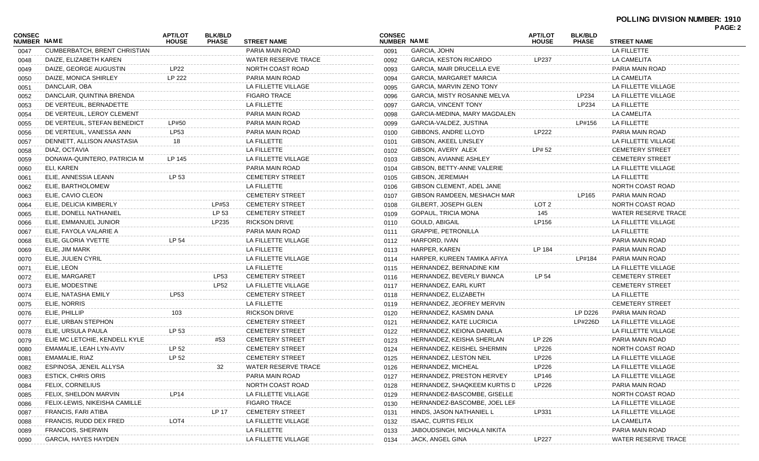## **POLLING DIVISION NUMBER: 1910 PAGE: 2**

|                              |                               |                                |                                |                        |                              |                              |                                |                                |                        | PAGE: 2 |
|------------------------------|-------------------------------|--------------------------------|--------------------------------|------------------------|------------------------------|------------------------------|--------------------------------|--------------------------------|------------------------|---------|
| CONSEC<br><b>NUMBER NAME</b> |                               | <b>APT/LOT</b><br><b>HOUSE</b> | <b>BLK/BLD</b><br><b>PHASE</b> | <b>STREET NAME</b>     | <b>CONSEC</b><br>NUMBER NAME |                              | <b>APT/LOT</b><br><b>HOUSE</b> | <b>BLK/BLD</b><br><b>PHASE</b> | <b>STREET NAME</b>     |         |
| 0047                         | CUMBERBATCH, BRENT CHRISTIAN  |                                |                                | PARIA MAIN ROAD        | 0091                         | <b>GARCIA, JOHN</b>          |                                |                                | LA FILLETTE            |         |
| 0048                         | DAIZE, ELIZABETH KAREN        |                                |                                | WATER RESERVE TRACE    | 0092                         | GARCIA, KESTON RICARDO       | LP237                          |                                | LA CAMELITA            |         |
| 0049                         | DAIZE, GEORGE AUGUSTIN        | <b>LP22</b>                    |                                | NORTH COAST ROAD       | 0093                         | GARCIA, MAIR DRUCELLA EVE    |                                |                                | PARIA MAIN ROAD        |         |
| 0050                         | DAIZE, MONICA SHIRLEY         | LP 222                         |                                | PARIA MAIN ROAD        | 0094                         | GARCIA, MARGARET MARCIA      |                                |                                | LA CAMELITA            |         |
| 0051                         | DANCLAIR, OBA                 |                                |                                | LA FILLETTE VILLAGE    | 0095                         | GARCIA, MARVIN ZENO TONY     |                                |                                | LA FILLETTE VILLAGE    |         |
| 0052                         | DANCLAIR, QUINTINA BRENDA     |                                |                                | <b>FIGARO TRACE</b>    | 0096                         | GARCIA, MISTY ROSANNE MELVA  |                                | LP234                          | LA FILLETTE VILLAGE    |         |
| 0053                         | DE VERTEUIL, BERNADETTE       |                                |                                | LA FILLETTE            | 0097                         | <b>GARCIA, VINCENT TONY</b>  |                                | LP234                          | LA FILLETTE            |         |
| 0054                         | DE VERTEUIL, LEROY CLEMENT    |                                |                                | PARIA MAIN ROAD        | 0098                         | GARCIA-MEDINA, MARY MAGDALEN |                                |                                | LA CAMELITA            |         |
| 0055                         | DE VERTEUIL, STEFAN BENEDICT  | LP#50                          |                                | PARIA MAIN ROAD        | 0099                         | GARCIA-VALDEZ, JUSTINA       |                                | LP#156                         | LA FILLETTE            |         |
| 0056                         | DE VERTEUIL, VANESSA ANN      | <b>LP53</b>                    |                                | PARIA MAIN ROAD        | 0100                         | GIBBONS, ANDRE LLOYD         | LP222                          |                                | PARIA MAIN ROAD        |         |
| 0057                         | DENNETT, ALLISON ANASTASIA    | 18                             |                                | LA FILLETTE            | 0101                         | GIBSON, AKEEL LINSLEY        |                                |                                | LA FILLETTE VILLAGE    |         |
| 0058                         | DIAZ, OCTAVIA                 |                                |                                | LA FILLETTE            | 0102                         | GIBSON, AVERY ALEX           | LP# 52                         |                                | <b>CEMETERY STREET</b> |         |
| 0059                         | DONAWA-QUINTERO, PATRICIA M   | LP 145                         |                                | LA FILLETTE VILLAGE    | 0103                         | GIBSON, AVIANNE ASHLEY       |                                |                                | <b>CEMETERY STREET</b> |         |
| 0060                         | ELI, KAREN                    |                                |                                | PARIA MAIN ROAD        | 0104                         | GIBSON, BETTY-ANNE VALERIE   |                                |                                | LA FILLETTE VILLAGE    |         |
| 0061                         | ELIE, ANNESSIA LEANN          | LP 53                          |                                | <b>CEMETERY STREET</b> | 0105                         | GIBSON, JEREMIAH             |                                |                                | LA FILLETTE            |         |
| 0062                         | ELIE, BARTHOLOMEW             |                                |                                | LA FILLETTE            | 0106                         | GIBSON CLEMENT, ADEL JANE    |                                |                                | NORTH COAST ROAD       |         |
| 0063                         | ELIE, CAVIO CLEON             |                                |                                | <b>CEMETERY STREET</b> | 0107                         | GIBSON RAMDEEN, MESHACH MAR  |                                | LP165                          | PARIA MAIN ROAD        |         |
| 0064                         | ELIE, DELICIA KIMBERLY        |                                | LP#53                          | <b>CEMETERY STREET</b> | 0108                         | GILBERT, JOSEPH GLEN         | LOT <sub>2</sub>               |                                | NORTH COAST ROAD       |         |
| 0065                         | ELIE, DONELL NATHANIEL        |                                | LP 53                          | <b>CEMETERY STREET</b> | 0109                         | GOPAUL, TRICIA MONA          | 145                            |                                | WATER RESERVE TRACE    |         |
| 0066                         | ELIE, EMMANUEL JUNIOR         |                                | LP235                          | <b>RICKSON DRIVE</b>   | 0110                         | GOULD, ABIGAIL               | LP156                          |                                | LA FILLETTE VILLAGE    |         |
| 0067                         | ELIE, FAYOLA VALARIE A        |                                |                                | PARIA MAIN ROAD        | 0111                         | <b>GRAPPIE, PETRONILLA</b>   |                                |                                | LA FILLETTE            |         |
| 0068                         | ELIE, GLORIA YVETTE           | LP 54                          |                                | LA FILLETTE VILLAGE    | 0112                         | HARFORD, IVAN                |                                |                                | PARIA MAIN ROAD        |         |
| 0069                         | ELIE, JIM MARK                |                                |                                | LA FILLETTE            | 0113                         | HARPER, KAREN                | LP 184                         |                                | PARIA MAIN ROAD        |         |
| 0070                         | ELIE, JULIEN CYRIL            |                                |                                | LA FILLETTE VILLAGE    | 0114                         | HARPER, KUREEN TAMIKA AFIYA  |                                | LP#184                         | PARIA MAIN ROAD        |         |
| 0071                         | ELIE, LEON                    |                                |                                | LA FILLETTE            | 0115                         | HERNANDEZ, BERNADINE KIM     |                                |                                | LA FILLETTE VILLAGE    |         |
| 0072                         | ELIE, MARGARET                |                                | <b>LP53</b>                    | <b>CEMETERY STREET</b> | 0116                         | HERNANDEZ, BEVERLY BIANCA    | LP 54                          |                                | <b>CEMETERY STREET</b> |         |
| 0073                         | ELIE, MODESTINE               |                                | <b>LP52</b>                    | LA FILLETTE VILLAGE    | 0117                         | HERNANDEZ, EARL KURT         |                                |                                | <b>CEMETERY STREET</b> |         |
| 0074                         | ELIE, NATASHA EMILY           | LP53                           |                                | <b>CEMETERY STREET</b> | 0118                         | HERNANDEZ, ELIZABETH         |                                |                                | LA FILLETTE            |         |
| 0075                         | ELIE, NORRIS                  |                                |                                | LA FILLETTE            | 0119                         | HERNANDEZ, JEOFREY MERVIN    |                                |                                | <b>CEMETERY STREET</b> |         |
| 0076                         | ELIE, PHILLIP                 | 103                            |                                | <b>RICKSON DRIVE</b>   | 0120                         | HERNANDEZ, KASMIN DANA       |                                | LP D226                        | PARIA MAIN ROAD        |         |
| 0077                         | ELIE, URBAN STEPHON           |                                |                                | <b>CEMETERY STREET</b> | 0121                         | HERNANDEZ, KATE LUCRICIA     |                                | LP#226D                        | LA FILLETTE VILLAGE    |         |
| 0078                         | ELIE, URSULA PAULA            | LP 53                          |                                | <b>CEMETERY STREET</b> | 0122                         | HERNANDEZ, KEIONA DANIELA    |                                |                                | LA FILLETTE VILLAGE    |         |
| 0079                         | ELIE MC LETCHIE, KENDELL KYLE |                                | #53                            | <b>CEMETERY STREET</b> | 0123                         | HERNANDEZ, KEISHA SHERLAN    | LP 226                         |                                | PARIA MAIN ROAD        |         |
| 0080                         | EMAMALIE, LEAH LYN-AVIV       | LP 52                          |                                | <b>CEMETERY STREET</b> | 0124                         | HERNANDEZ, KEISHEL SHERMIN   | LP226                          |                                | NORTH COAST ROAD       |         |
| 0081                         | EMAMALIE, RIAZ                | LP 52                          |                                | <b>CEMETERY STREET</b> | 0125                         | HERNANDEZ, LESTON NEIL       | LP226                          |                                | LA FILLETTE VILLAGE    |         |
| 0082                         | ESPINOSA, JENEIL ALLYSA       |                                |                                | WATER RESERVE TRACE    | 0126                         | HERNANDEZ, MICHEAL           | LP226                          |                                | LA FILLETTE VILLAGE    |         |
| 0083                         | <b>ESTICK, CHRIS ORIS</b>     |                                |                                | PARIA MAIN ROAD        | 0127                         | HERNANDEZ, PRESTON HERVEY    | LP146                          |                                | LA FILLETTE VILLAGE    |         |
| 0084                         | FELIX, CORNELIUS              |                                |                                | NORTH COAST ROAD       | 0128                         | HERNANDEZ, SHAQKEEM KURTIS D | LP226                          |                                | PARIA MAIN ROAD        |         |
| 0085                         | FELIX, SHELDON MARVIN         |                                |                                | LA FILLETTE VILLAGE    | 0129                         | HERNANDEZ-BASCOMBE, GISELLE  |                                |                                | NORTH COAST ROAD       |         |
| 0086                         | FELIX-LEWIS, NIKEISHA CAMILLE |                                |                                | <b>FIGARO TRACE</b>    | 0130                         | HERNANDEZ-BASCOMBE, JOEL LER |                                |                                | LA FILLETTE VILLAGE    |         |
| 0087                         | FRANCIS, FARI ATIBA           |                                | LP 17                          | <b>CEMETERY STREET</b> | 0131                         | HINDS, JASON NATHANIEL L     | LP331                          |                                | LA FILLETTE VILLAGE    |         |
| 0088                         | FRANCIS, RUDD DEX FRED        | LOT <sub>4</sub>               |                                | LA FILLETTE VILLAGE    | 0132                         | <b>ISAAC, CURTIS FELIX</b>   |                                |                                | LA CAMELITA            |         |
| 0089                         | FRANCOIS, SHERWIN             |                                |                                | LA FILLETTE            | 0133                         | JABOUDSINGH, MICHALA NIKITA  |                                |                                | PARIA MAIN ROAD        |         |
| 0090                         | <b>GARCIA, HAYES HAYDEN</b>   |                                |                                | LA FILLETTE VILLAGE    | 0134                         | JACK, ANGEL GINA             | LP227                          |                                | WATER RESERVE TRACE    |         |
|                              |                               |                                |                                |                        |                              |                              |                                |                                |                        |         |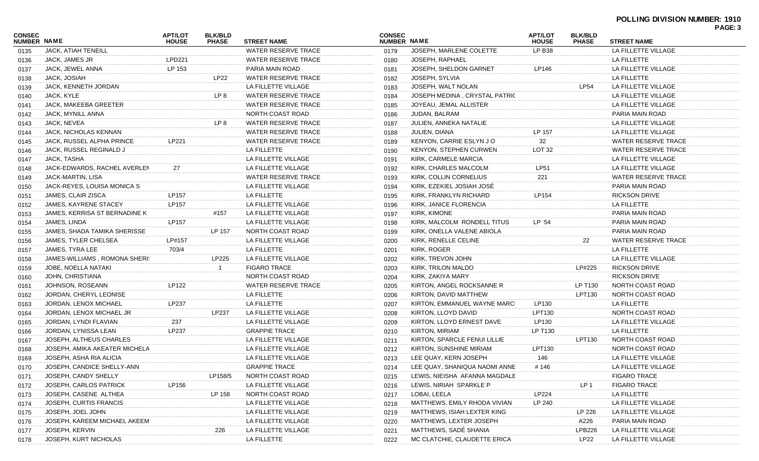| CONSEC | <b>NUMBER NAME</b>            | <b>APT/LOT</b><br><b>HOUSE</b> | <b>BLK/BLD</b><br><b>PHASE</b> | <b>STREET NAME</b>         | <b>CONSEC</b><br>NUMBER NAME |                               | <b>APT/LOT</b><br><b>HOUSE</b> | <b>BLK/BLD</b><br><b>PHASE</b> | <b>STREET NAME</b>         | PAGE: 3 |
|--------|-------------------------------|--------------------------------|--------------------------------|----------------------------|------------------------------|-------------------------------|--------------------------------|--------------------------------|----------------------------|---------|
| 0135   | <b>JACK, ATIAH TENEILL</b>    |                                |                                | WATER RESERVE TRACE        | 0179                         | JOSEPH, MARLENE COLETTE       | <b>LP B38</b>                  |                                | LA FILLETTE VILLAGE        |         |
| 0136   | JACK, JAMES JR                | <b>LPD221</b>                  |                                | <b>WATER RESERVE TRACE</b> | 0180                         | JOSEPH, RAPHAEL               |                                |                                | LA FILLETTE                |         |
| 0137   | JACK, JEWEL ANNA              | LP 153                         |                                | PARIA MAIN ROAD            | 0181                         | JOSEPH, SHELDON GARNET        | LP146                          |                                | LA FILLETTE VILLAGE        |         |
| 0138   | JACK, JOSIAH                  |                                | <b>LP22</b>                    | WATER RESERVE TRACE        | 0182                         | JOSEPH, SYLVIA                |                                |                                | LA FILLETTE                |         |
| 0139   | JACK, KENNETH JORDAN          |                                |                                | LA FILLETTE VILLAGE        | 0183                         | JOSEPH, WALT NOLAN            |                                | <b>LP54</b>                    | LA FILLETTE VILLAGE        |         |
| 0140   | JACK, KYLE                    |                                | LP 8                           | WATER RESERVE TRACE        | 0184                         | JOSEPH MEDINA, CRYSTAL PATRIC |                                |                                | LA FILLETTE VILLAGE        |         |
| 0141   | <b>JACK, MAKEEBA GREETER</b>  |                                |                                | <b>WATER RESERVE TRACE</b> | 0185                         | JOYEAU, JEMAL ALLISTER        |                                |                                | LA FILLETTE VILLAGE        |         |
| 0142   | JACK, MYNILL ANNA             |                                |                                | NORTH COAST ROAD           | 0186                         | JUDAN, BALRAM                 |                                |                                | PARIA MAIN ROAD            |         |
| 0143   | JACK, NEVEA                   |                                | LP 8                           | WATER RESERVE TRACE        | 0187                         | JULIEN, ANNEKA NATALIE        |                                |                                | LA FILLETTE VILLAGE        |         |
| 0144   | JACK, NICHOLAS KENNAN         |                                |                                | <b>WATER RESERVE TRACE</b> | 0188                         | JULIEN, DIANA                 | LP 157                         |                                | LA FILLETTE VILLAGE        |         |
| 0145   | JACK, RUSSEL ALPHA PRINCE     | LP221                          |                                | WATER RESERVE TRACE        | 0189                         | KENYON, CARRIE ESLYN JO       | 32                             |                                | WATER RESERVE TRACE        |         |
| 0146   | JACK, RUSSEL REGINALD J       |                                |                                | LA FILLETTE                | 0190                         | <b>KENYON, STEPHEN CURWEN</b> | LOT <sub>32</sub>              |                                | WATER RESERVE TRACE        |         |
| 0147   | JACK, TASHA                   |                                |                                | LA FILLETTE VILLAGE        | 0191                         | KIRK, CARMELE MARCIA          |                                |                                | LA FILLETTE VILLAGE        |         |
| 0148   | JACK-EDWARDS, RACHEL AVERLEN  | 27                             |                                | LA FILLETTE VILLAGE        | 0192                         | KIRK, CHARLES MALCOLM         | <b>LP51</b>                    |                                | LA FILLETTE VILLAGE        |         |
| 0149   | JACK-MARTIN, LISA             |                                |                                | WATER RESERVE TRACE        | 0193                         | KIRK, COLLIN CORNELIUS        | 221                            |                                | <b>WATER RESERVE TRACE</b> |         |
| 0150   | JACK-REYES, LOUISA MONICA S   |                                |                                | LA FILLETTE VILLAGE        | 0194                         | KIRK, EZEKIEL JOSIAH JOSÉ     |                                |                                | PARIA MAIN ROAD            |         |
| 0151   | JAMES, CLAIR ZISCA            | LP157                          |                                | LA FILLETTE                | 0195                         | KIRK, FRANKLYN RICHARD        | LP154                          |                                | <b>RICKSON DRIVE</b>       |         |
| 0152   | JAMES, KAYRENE STACEY         | LP157                          |                                | LA FILLETTE VILLAGE        | 0196                         | KIRK, JANICE FLORENCIA        |                                |                                | LA FILLETTE                |         |
| 0153   | JAMES, KERRISA ST BERNADINE K |                                | #157                           | LA FILLETTE VILLAGE        | 0197                         | KIRK, KIMONE                  |                                |                                | PARIA MAIN ROAD            |         |
| 0154   | JAMES, LINDA                  | LP157                          |                                | LA FILLETTE VILLAGE        | 0198                         | KIRK, MALCOLM RONDELL TITUS   | LP 54                          |                                | PARIA MAIN ROAD            |         |
| 0155   | JAMES, SHADA TAMIKA SHERISSE  |                                | LP 157                         | NORTH COAST ROAD           | 0199                         | KIRK, ONELLA VALENE ABIOLA    |                                |                                | PARIA MAIN ROAD            |         |
| 0156   | JAMES. TYLER CHELSEA          | LP#157                         |                                | LA FILLETTE VILLAGE        | 0200                         | KIRK, RENELLE CELINE          |                                | 22                             | <b>WATER RESERVE TRACE</b> |         |
| 0157   | JAMES, TYRA LEE               | 703/4                          |                                | LA FILLETTE                | 0201                         | KIRK, ROGER                   |                                |                                | LA FILLETTE                |         |
| 0158   | JAMES-WILLIAMS, ROMONA SHERI! |                                | LP225                          | LA FILLETTE VILLAGE        | 0202                         | KIRK, TREVON JOHN             |                                |                                | LA FILLETTE VILLAGE        |         |
| 0159   | JOBE, NOELLA NATAKI           |                                |                                | <b>FIGARO TRACE</b>        | 0203                         | KIRK, TRILON MALDO            |                                | LP#225                         | <b>RICKSON DRIVE</b>       |         |
| 0160   | JOHN, CHRISTIANA              |                                |                                | NORTH COAST ROAD           | 0204                         | KIRK, ZAKIYA MARY             |                                |                                | <b>RICKSON DRIVE</b>       |         |
| 0161   | JOHNSON, ROSEANN              | LP122                          |                                | <b>WATER RESERVE TRACE</b> | 0205                         | KIRTON, ANGEL ROCKSANNE R     |                                | LP T130                        | NORTH COAST ROAD           |         |
| 0162   | JORDAN, CHERYL LEONISE        |                                |                                | LA FILLETTE                | 0206                         | KIRTON, DAVID MATTHEW         |                                | LPT130                         | NORTH COAST ROAD           |         |
| 0163   | JORDAN, LENOX MICHAEL         | LP237                          |                                | LA FILLETTE                | 0207                         | KIRTON, EMMANUEL WAYNE MARCI  | LP130                          |                                | LA FILLETTE                |         |
| 0164   | JORDAN, LENOX MICHAEL JR      |                                | LP237                          | LA FILLETTE VILLAGE        | 0208                         | KIRTON, LLOYD DAVID           | LPT130                         |                                | NORTH COAST ROAD           |         |
| 0165   | JORDAN, LYNDI FLAVIAN         | 237                            |                                | LA FILLETTE VILLAGE        | 0209                         | KIRTON, LLOYD ERNEST DAVE     | LP130                          |                                | LA FILLETTE VILLAGE        |         |
| 0166   | JORDAN, LYNISSA LEAN          | LP237                          |                                | <b>GRAPPIE TRACE</b>       | 0210                         | KIRTON, MIRIAM                | LP T130                        |                                | LA FILLETTE                |         |
| 0167   | JOSEPH, ALTHEUS CHARLES       |                                |                                | LA FILLETTE VILLAGE        | 0211                         | KIRTON, SPARCLE FENUI LILLIE  |                                | <b>LPT130</b>                  | NORTH COAST ROAD           |         |
| 0168   | JOSEPH, AMIKA AKEATER MICHELA |                                |                                | LA FILLETTE VILLAGE        | 0212                         | KIRTON, SUNSHINE MIRIAM       | LPT130                         |                                | NORTH COAST ROAD           |         |
| 0169   | JOSEPH, ASHA RIA ALICIA       |                                |                                | LA FILLETTE VILLAGE        | 0213                         | LEE QUAY, KERN JOSEPH         | 146                            |                                | LA FILLETTE VILLAGE        |         |
| 0170   | JOSEPH, CANDICE SHELLY-ANN    |                                |                                | <b>GRAPPIE TRACE</b>       | 0214                         | LEE QUAY, SHANIQUA NAOMI ANNE | #146                           |                                | LA FILLETTE VILLAGE        |         |
| 0171   | JOSEPH, CANDY SHELLY          |                                | LP158/5                        | NORTH COAST ROAD           | 0215                         | LEWIS, NIEISHA AFANNA MAGDALE |                                |                                | <b>FIGARO TRACE</b>        |         |
| 0172   | <b>JOSEPH, CARLOS PATRICK</b> | LP156                          |                                | LA FILLETTE VILLAGE        | 0216                         | LEWIS, NIRIAH SPARKLE P       |                                | LP <sub>1</sub>                | <b>FIGARO TRACE</b>        |         |
| 0173   | JOSEPH, CASENE ALTHEA         |                                | LP 158                         | NORTH COAST ROAD           | 0217                         | LOBAI, LEELA                  | LP224                          |                                | LA FILLETTE                |         |
| 0174   | JOSEPH, CURTIS FRANCIS        |                                |                                | LA FILLETTE VILLAGE        | 0218                         | MATTHEWS, EMILY RHODA VIVIAN  | LP 240                         |                                | LA FILLETTE VILLAGE        |         |
| 0175   | JOSEPH, JOEL JOHN             |                                |                                | LA FILLETTE VILLAGE        | 0219                         | MATTHEWS, ISIAH LEXTER KING   |                                | LP 226                         | LA FILLETTE VILLAGE        |         |
| 0176   | JOSEPH, KAREEM MICHAEL AKEEM  |                                |                                | LA FILLETTE VILLAGE        | 0220                         | MATTHEWS, LEXTER JOSEPH       |                                | A226                           | PARIA MAIN ROAD            |         |
| 0177   | JOSEPH, KERVIN                |                                | 226                            | LA FILLETTE VILLAGE        | 0221                         | MATTHEWS, SADÉ SHANIA         |                                | <b>LPB226</b>                  | LA FILLETTE VILLAGE        |         |
| 0178   | JOSEPH, KURT NICHOLAS         |                                |                                | LA FILLETTE                | 0222                         | MC CLATCHIE, CLAUDETTE ERICA  |                                | <b>LP22</b>                    | LA FILLETTE VILLAGE        |         |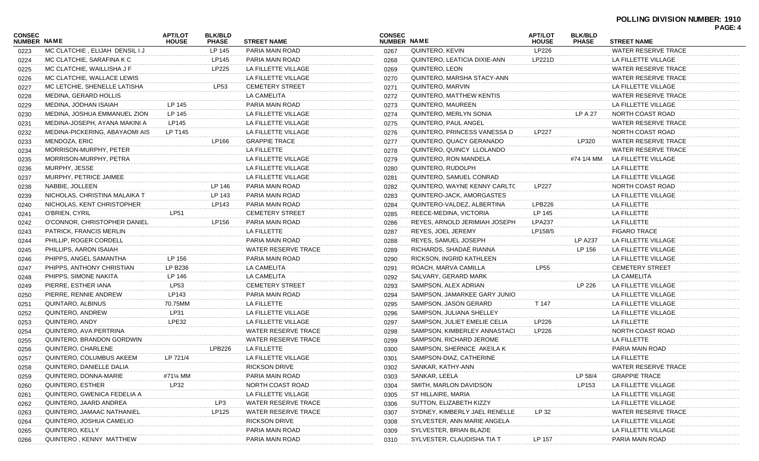## **POLLING DIVISION NUMBER: 1910**

|                                     |                                |                                |                                |                            |                                     |                               |                                |                                |                            | PAGE: 4 |
|-------------------------------------|--------------------------------|--------------------------------|--------------------------------|----------------------------|-------------------------------------|-------------------------------|--------------------------------|--------------------------------|----------------------------|---------|
| <b>CONSEC</b><br><b>NUMBER NAME</b> |                                | <b>APT/LOT</b><br><b>HOUSE</b> | <b>BLK/BLD</b><br><b>PHASE</b> | <b>STREET NAME</b>         | <b>CONSEC</b><br><b>NUMBER NAME</b> |                               | <b>APT/LOT</b><br><b>HOUSE</b> | <b>BLK/BLD</b><br><b>PHASE</b> | <b>STREET NAME</b>         |         |
| 0223                                | MC CLATCHIE, ELIJAH DENSIL I J |                                | LP 145                         | PARIA MAIN ROAD            | 0267                                | QUINTERO, KEVIN               | LP226                          |                                | <b>WATER RESERVE TRACE</b> |         |
| 0224                                | MC CLATCHIE, SARAFINA K C      |                                | LP145                          | PARIA MAIN ROAD            | 0268                                | QUINTERO, LEATICIA DIXIE-ANN  | LP221D                         |                                | LA FILLETTE VILLAGE        |         |
| 0225                                | MC CLATCHIE. WAILLISHA J F     |                                | LP225                          | LA FILLETTE VILLAGE        | 0269                                | QUINTERO, LEON                |                                |                                | WATER RESERVE TRACE        |         |
| 0226                                | MC CLATCHIE. WALLACE LEWIS     |                                |                                | LA FILLETTE VILLAGE        | 0270                                | QUINTERO. MARSHA STACY-ANN    |                                |                                | WATER RESERVE TRACE        |         |
| 0227                                | MC LETCHIE, SHENELLE LATISHA   |                                | LP53                           | <b>CEMETERY STREET</b>     | 0271                                | QUINTERO, MARVIN              |                                |                                | LA FILLETTE VILLAGE        |         |
| 0228                                | MEDINA, GERARD HOLLIS          |                                |                                | LA CAMELITA                | 0272                                | QUINTERO, MATTHEW KENTIS      |                                |                                | WATER RESERVE TRACE        |         |
| 0229                                | MEDINA, JODHAN ISAIAH          | LP 145                         |                                | PARIA MAIN ROAD            | 0273                                | QUINTERO, MAUREEN             |                                |                                | LA FILLETTE VILLAGE        |         |
| 0230                                | MEDINA, JOSHUA EMMANUEL ZION   | LP 145                         |                                | LA FILLETTE VILLAGE        | 0274                                | QUINTERO, MERLYN SONIA        |                                | LP A 27                        | NORTH COAST ROAD           |         |
| 0231                                | MEDINA-JOSEPH, AYANA MAKINI A  | LP145                          |                                | LA FILLETTE VILLAGE        | 0275                                | QUINTERO, PAUL ANGEL          |                                |                                | WATER RESERVE TRACE        |         |
| 0232                                | MEDINA-PICKERING, ABAYAOMI AIS | LP T145                        |                                | LA FILLETTE VILLAGE        | 0276                                | QUINTERO, PRINCESS VANESSA D  | LP227                          |                                | NORTH COAST ROAD           |         |
| 0233                                | MENDOZA, ERIC                  |                                | LP166                          | <b>GRAPPIE TRACE</b>       | 0277                                | QUINTERO, QUACY GERANADO      |                                | LP320                          | WATER RESERVE TRACE        |         |
| 0234                                | MORRISON-MURPHY, PETER         |                                |                                | LA FILLETTE                | 0278                                | QUINTERO, QUINCY LLOLANDO     |                                |                                | WATER RESERVE TRACE        |         |
| 0235                                | MORRISON-MURPHY, PETRA         |                                |                                | LA FILLETTE VILLAGE        | 0279                                | QUINTERO, RON MANDELA         |                                | #74 1/4 MM                     | LA FILLETTE VILLAGE        |         |
| 0236                                | MURPHY, JESSE                  |                                |                                | LA FILLETTE VILLAGE        | 0280                                | QUINTERO, RUDOLPH             |                                |                                | LA FILLETTE                |         |
| 0237                                | MURPHY, PETRICE JAIMEE         |                                |                                | LA FILLETTE VILLAGE        | 0281                                | QUINTERO, SAMUEL CONRAD       |                                |                                | LA FILLETTE VILLAGE        |         |
| 0238                                | NABBIE, JOLLEEN                |                                | LP 146                         | PARIA MAIN ROAD            | 0282                                | QUINTERO, WAYNE KENNY CARLTC  | LP227                          |                                | NORTH COAST ROAD           |         |
| 0239                                | NICHOLAS. CHRISTINA MALAIKA T  |                                | LP 143                         | PARIA MAIN ROAD            | 0283                                | QUINTERO-JACK, AMORGASTES     |                                |                                | LA FILLETTE VILLAGE        |         |
| 0240                                | NICHOLAS, KENT CHRISTOPHER     |                                | LP143                          | PARIA MAIN ROAD            | 0284                                | QUINTERO-VALDEZ, ALBERTINA    | LPB226                         |                                | LA FILLETTE                |         |
| 0241                                | O'BRIEN, CYRIL                 | <b>LP51</b>                    |                                | <b>CEMETERY STREET</b>     | 0285                                | REECE-MEDINA, VICTORIA        | LP 145                         |                                | LA FILLETTE                |         |
| 0242                                | O'CONNOR, CHRISTOPHER DANIEL   |                                | LP156                          | PARIA MAIN ROAD            | 0286                                | REYES, ARNOLD JERIMIAH JOSEPH | <b>LPA237</b>                  |                                | LA FILLETTE                |         |
| 0243                                | PATRICK, FRANCIS MERLIN        |                                |                                | LA FILLETTE                | 0287                                | REYES, JOEL JEREMY            | LP158/5                        |                                | <b>FIGARO TRACE</b>        |         |
| 0244                                | PHILLIP, ROGER CORDELL         |                                |                                | PARIA MAIN ROAD            | 0288                                | REYES, SAMUEL JOSEPH          |                                | LP A237                        | LA FILLETTE VILLAGE        |         |
| 0245                                | PHILLIPS, AARON ISAIAH         |                                |                                | <b>WATER RESERVE TRACE</b> | 0289                                | RICHARDS, SHADAÉ RIANNA       |                                | LP 156                         | LA FILLETTE VILLAGE        |         |
| 0246                                | PHIPPS, ANGEL SAMANTHA         | LP 156                         |                                | PARIA MAIN ROAD            | 0290                                | RICKSON, INGRID KATHLEEN      |                                |                                | LA FILLETTE VILLAGE        |         |
| 0247                                | PHIPPS, ANTHONY CHRISTIAN      | LP B236                        |                                | LA CAMELITA                | 0291                                | ROACH, MARVA CAMILLA          | <b>LP55</b>                    |                                | <b>CEMETERY STREET</b>     |         |
| 0248                                | PHIPPS, SIMONE NAKITA          | LP 146                         |                                | LA CAMELITA                | 0292                                | SALVARY, GERARD MARK          |                                |                                | LA CAMELITA                |         |
| 0249                                | PIERRE, ESTHER IANA            | LP53                           |                                | <b>CEMETERY STREET</b>     | 0293                                | SAMPSON, ALEX ADRIAN          |                                | LP 226                         | LA FILLETTE VILLAGE        |         |
| 0250                                | PIERRE, RENNIE ANDREW          | LP143                          |                                | PARIA MAIN ROAD            | 0294                                | SAMPSON, JAMARKEE GARY JUNIO  |                                |                                | LA FILLETTE VILLAGE        |         |
| 0251                                | QUINTARO, ALBINUS              | 70.75MM                        |                                | LA FILLETTE                | 0295                                | SAMPSON, JASON GERARD         | T 147                          |                                | LA FILLETTE VILLAGE        |         |
| 0252                                | QUINTERO, ANDREW               | LP31                           |                                | LA FILLETTE VILLAGE        | 0296                                | SAMPSON, JULIANA SHELLEY      |                                |                                | LA FILLETTE VILLAGE        |         |
| 0253                                | QUINTERO, ANDY                 | LPE32                          |                                | LA FILLETTE VILLAGE        | 0297                                | SAMPSON, JULIET EMELIE CELIA  | LP226                          |                                | LA FILLETTE                |         |
| 0254                                | QUINTERO, AVA PERTRINA         |                                |                                | WATER RESERVE TRACE        | 0298                                | SAMPSON, KIMBERLEY ANNASTACI  | LP226                          |                                | NORTH COAST ROAD           |         |
| 0255                                | QUINTERO, BRANDON GORDWIN      |                                |                                | WATER RESERVE TRACE        | 0299                                | SAMPSON, RICHARD JEROME       |                                |                                | LA FILLETTE                |         |
| 0256                                | QUINTERO, CHARLENE             |                                | LPB226                         | LA FILLETTE                | 0300                                | SAMPSON, SHERNICE AKEILA K    |                                |                                | PARIA MAIN ROAD            |         |
| 0257                                | QUINTERO, COLUMBUS AKEEM       | LP 721/4                       |                                | LA FILLETTE VILLAGE        | 0301                                | SAMPSON-DIAZ, CATHERINE       |                                |                                | LA FILLETTE                |         |
| 0258                                | QUINTERO, DANIELLE DALIA       |                                |                                | <b>RICKSON DRIVE</b>       | 0302                                | SANKAR, KATHY-ANN             |                                |                                | WATER RESERVE TRACE        |         |
| 0259                                | QUINTERO, DONNA-MARIE          | #71¼ MM                        |                                | PARIA MAIN ROAD            | 0303                                | SANKAR, LEELA                 |                                | LP 58/4                        | <b>GRAPPIE TRACE</b>       |         |
| 0260                                | QUINTERO, ESTHER               | LP32                           |                                | NORTH COAST ROAD           | 0304                                | SMITH, MARLON DAVIDSON        |                                | LP153                          | LA FILLETTE VILLAGE        |         |
| 0261                                | QUINTERO, GWENICA FEDELIA A    |                                |                                | LA FILLETTE VILLAGE        | 0305                                | ST HILLAIRE, MARIA            |                                |                                | LA FILLETTE VILLAGE        |         |
| 0262                                | QUINTERO, JAARD ANDREA         |                                | LP3                            | WATER RESERVE TRACE        | 0306                                | SUTTON, ELIZABETH KIZZY       |                                |                                | LA FILLETTE VILLAGE        |         |
| 0263                                | QUINTERO, JAMAAC NATHANIEL     |                                | LP125                          | <b>WATER RESERVE TRACE</b> | 0307                                | SYDNEY, KIMBERLY JAEL RENELLE | LP 32                          |                                | WATER RESERVE TRACE        |         |
| 0264                                | QUINTERO, JOSHUA CAMELIO       |                                |                                | <b>RICKSON DRIVE</b>       | 0308                                | SYLVESTER, ANN MARIE ANGELA   |                                |                                | LA FILLETTE VILLAGE        |         |
| 0265                                | QUINTERO, KELLY                |                                |                                | PARIA MAIN ROAD            | 0309                                | SYLVESTER, BRIAN BLAZIE       |                                |                                | LA FILLETTE VILLAGE        |         |
| 0266                                | QUINTERO, KENNY MATTHEW        |                                |                                | PARIA MAIN ROAD            | 0310                                | SYLVESTER, CLAUDISHA TIA T    | LP 157                         |                                | PARIA MAIN ROAD            |         |
|                                     |                                |                                |                                |                            |                                     |                               |                                |                                |                            |         |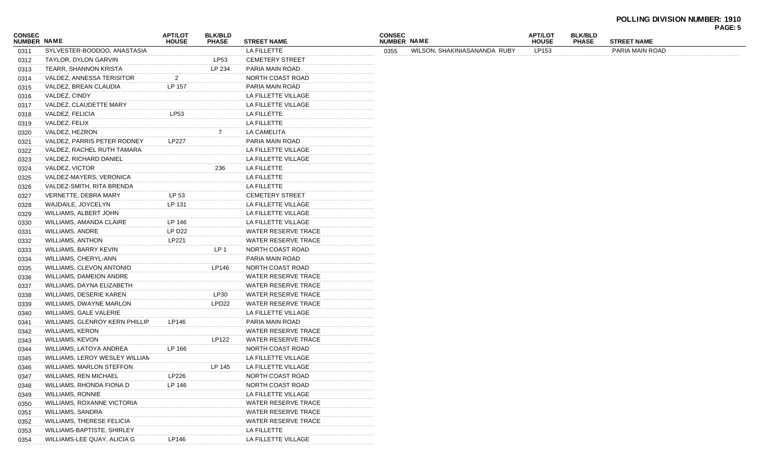## **POLLING DIVISION NUMBER: 1910**

|                              |                                 |                                |                                |                            |                              |                              |                                |                                |                    | PAGE: 5 |
|------------------------------|---------------------------------|--------------------------------|--------------------------------|----------------------------|------------------------------|------------------------------|--------------------------------|--------------------------------|--------------------|---------|
| <b>CONSEC</b><br>NUMBER NAME |                                 | <b>APT/LOT</b><br><b>HOUSE</b> | <b>BLK/BLD</b><br><b>PHASE</b> | <b>STREET NAME</b>         | <b>CONSEC</b><br>NUMBER NAME |                              | <b>APT/LOT</b><br><b>HOUSE</b> | <b>BLK/BLD</b><br><b>PHASE</b> | <b>STREET NAME</b> |         |
| 0311                         | SYLVESTER-BOODOO, ANASTASIA     |                                |                                | LA FILLETTE                | 0355                         | WILSON, SHAKINIASANANDA RUBY | LP153                          |                                | PARIA MAIN ROAD    |         |
| 0312                         | TAYLOR, DYLON GARVIN            |                                | <b>LP53</b>                    | <b>CEMETERY STREET</b>     |                              |                              |                                |                                |                    |         |
| 0313                         | TEARR, SHANNON KRISTA           |                                | LP 234                         | PARIA MAIN ROAD            |                              |                              |                                |                                |                    |         |
| 0314                         | VALDEZ, ANNESSA TERISITOR       | $\overline{2}$                 |                                | NORTH COAST ROAD           |                              |                              |                                |                                |                    |         |
| 0315                         | VALDEZ, BREAN CLAUDIA           | LP 157                         |                                | PARIA MAIN ROAD            |                              |                              |                                |                                |                    |         |
| 0316                         | VALDEZ, CINDY                   |                                |                                | LA FILLETTE VILLAGE        |                              |                              |                                |                                |                    |         |
| 0317                         | VALDEZ, CLAUDETTE MARY          |                                |                                | LA FILLETTE VILLAGE        |                              |                              |                                |                                |                    |         |
| 0318                         | VALDEZ, FELICIA                 | LP53                           |                                | LA FILLETTE                |                              |                              |                                |                                |                    |         |
| 0319                         | VALDEZ, FELIX                   |                                |                                | LA FILLETTE                |                              |                              |                                |                                |                    |         |
| 0320                         | VALDEZ, HEZRON                  |                                |                                | LA CAMELITA                |                              |                              |                                |                                |                    |         |
| 0321                         | VALDEZ, PARRIS PETER RODNEY     | LP227                          |                                | PARIA MAIN ROAD            |                              |                              |                                |                                |                    |         |
| 0322                         | VALDEZ, RACHEL RUTH TAMARA      |                                |                                | LA FILLETTE VILLAGE        |                              |                              |                                |                                |                    |         |
| 0323                         | VALDEZ, RICHARD DANIEL          |                                |                                | LA FILLETTE VILLAGE        |                              |                              |                                |                                |                    |         |
| 0324                         | VALDEZ, VICTOR                  |                                | 236                            | LA FILLETTE                |                              |                              |                                |                                |                    |         |
| 0325                         | VALDEZ-MAYERS, VERONICA         |                                |                                | LA FILLETTE                |                              |                              |                                |                                |                    |         |
| 0326                         | VALDEZ-SMITH, RITA BRENDA       |                                |                                | LA FILLETTE                |                              |                              |                                |                                |                    |         |
| 0327                         | VERNETTE, DEBRA MARY            | LP 53                          |                                | <b>CEMETERY STREET</b>     |                              |                              |                                |                                |                    |         |
| 0328                         | WAJDAILE, JOYCELYN              | LP 131                         |                                | LA FILLETTE VILLAGE        |                              |                              |                                |                                |                    |         |
| 0329                         | WILLIAMS, ALBERT JOHN           |                                |                                | LA FILLETTE VILLAGE        |                              |                              |                                |                                |                    |         |
| 0330                         | WILLIAMS, AMANDA CLAIRE         | LP 146                         |                                | LA FILLETTE VILLAGE        |                              |                              |                                |                                |                    |         |
| 0331                         | WILLIAMS, ANDRE                 | LP D22                         |                                | WATER RESERVE TRACE        |                              |                              |                                |                                |                    |         |
| 0332                         | WILLIAMS, ANTHON                | LP221                          |                                | <b>WATER RESERVE TRACE</b> |                              |                              |                                |                                |                    |         |
| 0333                         | WILLIAMS, BARRY KEVIN           |                                | LP <sub>1</sub>                | NORTH COAST ROAD           |                              |                              |                                |                                |                    |         |
| 0334                         | WILLIAMS, CHERYL-ANN            |                                |                                | PARIA MAIN ROAD            |                              |                              |                                |                                |                    |         |
| 0335                         | WILLIAMS, CLEVON ANTONIO        |                                | LP146                          | NORTH COAST ROAD           |                              |                              |                                |                                |                    |         |
| 0336                         | WILLIAMS, DAMEION ANDRE         |                                |                                | WATER RESERVE TRACE        |                              |                              |                                |                                |                    |         |
| 0337                         | WILLIAMS, DAYNA ELIZABETH       |                                |                                | WATER RESERVE TRACE        |                              |                              |                                |                                |                    |         |
| 0338                         | WILLIAMS, DESERIE KAREN         |                                | LP30                           | <b>WATER RESERVE TRACE</b> |                              |                              |                                |                                |                    |         |
| 0339                         | WILLIAMS, DWAYNE MARLON         |                                | LPD <sub>22</sub>              | WATER RESERVE TRACE        |                              |                              |                                |                                |                    |         |
| 0340                         | WILLIAMS, GALE VALERIE          |                                |                                | LA FILLETTE VILLAGE        |                              |                              |                                |                                |                    |         |
| 0341                         | WILLIAMS, GLENROY KERN PHILLIP  | LP146                          |                                | PARIA MAIN ROAD            |                              |                              |                                |                                |                    |         |
| 0342                         | <b>WILLIAMS, KERON</b>          |                                |                                | WATER RESERVE TRACE        |                              |                              |                                |                                |                    |         |
| 0343                         | WILLIAMS, KEVON                 |                                | LP122                          | WATER RESERVE TRACE        |                              |                              |                                |                                |                    |         |
| 0344                         | WILLIAMS, LATOYA ANDREA         | LP 166                         |                                | NORTH COAST ROAD           |                              |                              |                                |                                |                    |         |
| 0345                         | WILLIAMS, LEROY WESLEY WILLIAN  |                                |                                | LA FILLETTE VILLAGE        |                              |                              |                                |                                |                    |         |
| 0346                         | <b>WILLIAMS, MARLON STEFFON</b> |                                | LP 145                         | LA FILLETTE VILLAGE        |                              |                              |                                |                                |                    |         |
| 0347                         | <b>WILLIAMS, REN MICHAEL</b>    | LP226                          |                                | NORTH COAST ROAD           |                              |                              |                                |                                |                    |         |
| 0348                         | WILLIAMS, RHONDA FIONA D        | LP 146                         |                                | NORTH COAST ROAD           |                              |                              |                                |                                |                    |         |
| 0349                         | WILLIAMS, RONNIE                |                                |                                | LA FILLETTE VILLAGE        |                              |                              |                                |                                |                    |         |
| 0350                         | WILLIAMS, ROXANNE VICTORIA      |                                |                                | WATER RESERVE TRACE        |                              |                              |                                |                                |                    |         |
| 0351                         | <b>WILLIAMS, SANDRA</b>         |                                |                                | WATER RESERVE TRACE        |                              |                              |                                |                                |                    |         |
| 0352                         | WILLIAMS, THERESE FELICIA       |                                |                                | WATER RESERVE TRACE        |                              |                              |                                |                                |                    |         |
| 0353                         | WILLIAMS-BAPTISTE, SHIRLEY      |                                |                                | LA FILLETTE                |                              |                              |                                |                                |                    |         |
| 0354                         | WILLIAMS-LEE QUAY, ALICIA G     | LP146                          |                                | LA FILLETTE VILLAGE        |                              |                              |                                |                                |                    |         |